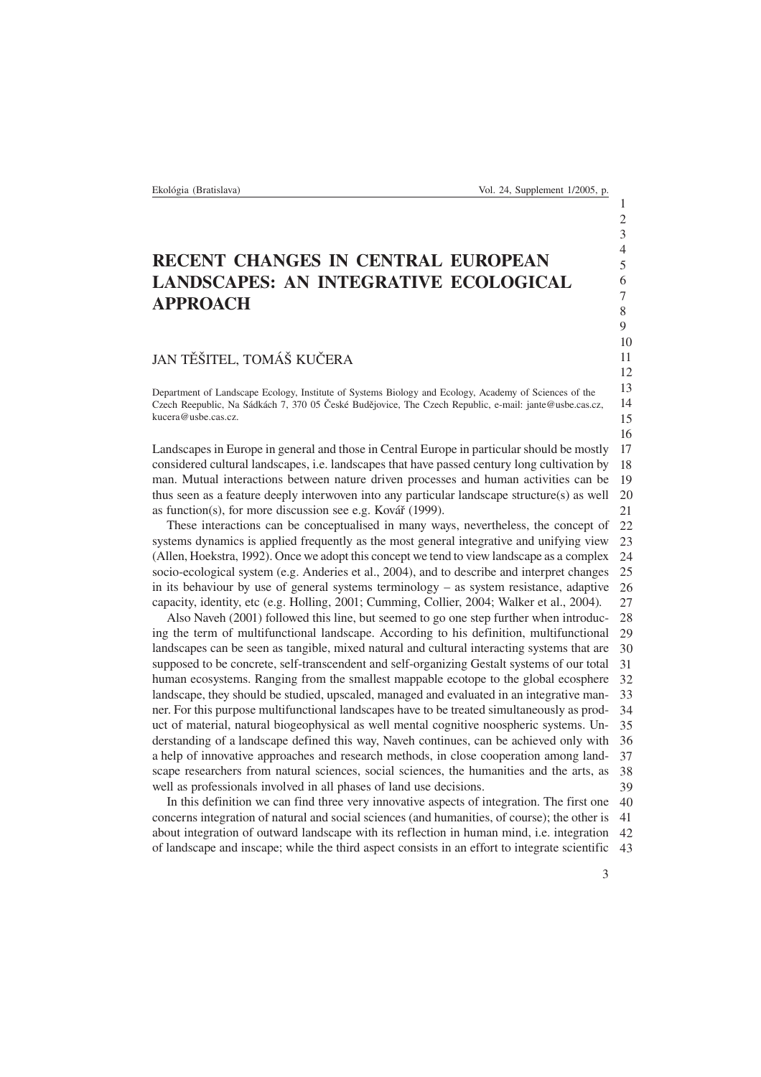## RECENT CHANGES IN CENTRAL EUROPEAN LANDSCAPES: AN INTEGRATIVE ECOLOGICAL APPROACH

## JAN TĚŠITEL, TOMÁŠ KUČERA

Department of Landscape Ecology, Institute of Systems Biology and Ecology, Academy of Sciences of the Czech Reepublic, Na Sádkách 7, 370 05 České Budějovice, The Czech Republic, e-mail: jante@usbe.cas.cz, kucera@usbe.cas.cz.

17 18 19 20 21 Landscapes in Europe in general and those in Central Europe in particular should be mostly considered cultural landscapes, i.e. landscapes that have passed century long cultivation by man. Mutual interactions between nature driven processes and human activities can be thus seen as a feature deeply interwoven into any particular landscape structure(s) as well as function(s), for more discussion see e.g. Kovář (1999).

 $22$ 23  $24$  $25$ 26 27 These interactions can be conceptualised in many ways, nevertheless, the concept of systems dynamics is applied frequently as the most general integrative and unifying view (Allen, Hoekstra, 1992). Once we adopt this concept we tend to view landscape as a complex socio-ecological system (e.g. Anderies et al., 2004), and to describe and interpret changes in its behaviour by use of general systems terminology – as system resistance, adaptive capacity, identity, etc (e.g. Holling, 2001; Cumming, Collier, 2004; Walker et al., 2004)*.*

28  $29$ 30 31 32 33 34 35 36 37 38 39 Also Naveh (2001) followed this line, but seemed to go one step further when introducing the term of multifunctional landscape. According to his definition, multifunctional landscapes can be seen as tangible, mixed natural and cultural interacting systems that are supposed to be concrete, self-transcendent and self-organizing Gestalt systems of our total human ecosystems. Ranging from the smallest mappable ecotope to the global ecosphere landscape, they should be studied, upscaled, managed and evaluated in an integrative manner. For this purpose multifunctional landscapes have to be treated simultaneously as product of material, natural biogeophysical as well mental cognitive noospheric systems. Understanding of a landscape defined this way, Naveh continues, can be achieved only with a help of innovative approaches and research methods, in close cooperation among landscape researchers from natural sciences, social sciences, the humanities and the arts, as well as professionals involved in all phases of land use decisions.

40 41 42 43 In this definition we can find three very innovative aspects of integration. The first one concerns integration of natural and social sciences (and humanities, of course); the other is about integration of outward landscape with its reflection in human mind, i.e. integration of landscape and inscape; while the third aspect consists in an effort to integrate scientific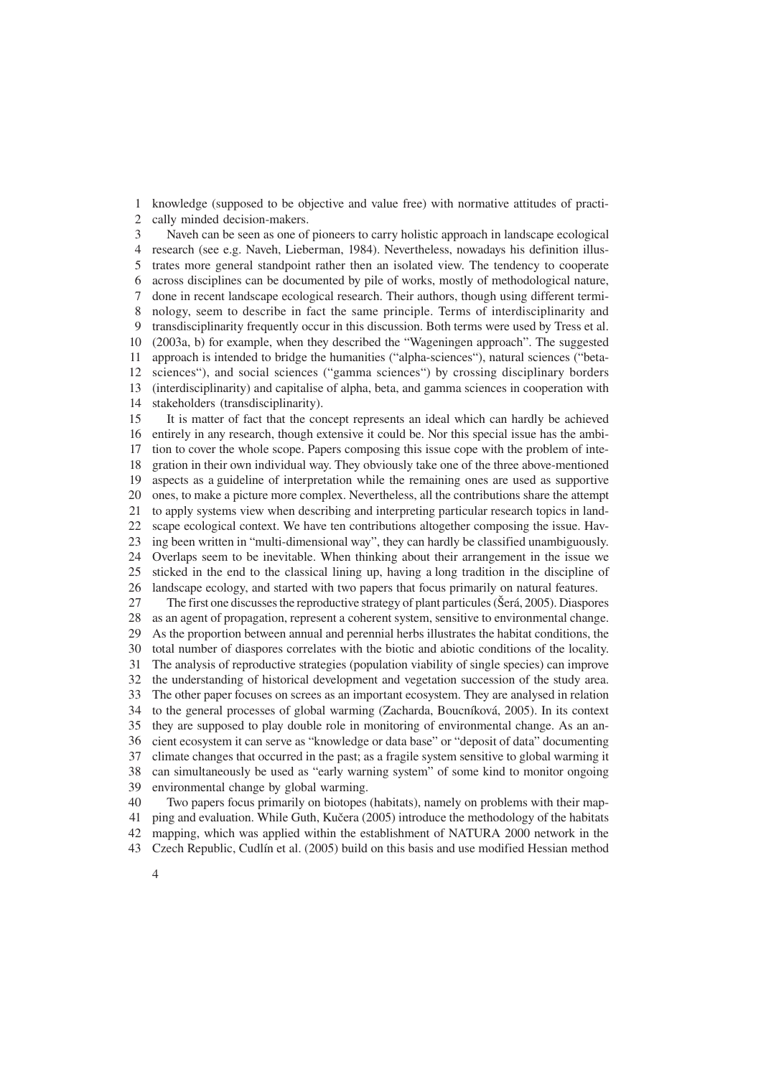1  $\mathcal{D}$ knowledge (supposed to be objective and value free) with normative attitudes of practically minded decision-makers.

3 4 5 6 7 8 9 10 11 12 13 14 Naveh can be seen as one of pioneers to carry holistic approach in landscape ecological research (see e.g. Naveh, Lieberman, 1984). Nevertheless, nowadays his definition illustrates more general standpoint rather then an isolated view. The tendency to cooperate across disciplines can be documented by pile of works, mostly of methodological nature, done in recent landscape ecological research. Their authors, though using different terminology, seem to describe in fact the same principle. Terms of interdisciplinarity and transdisciplinarity frequently occur in this discussion. Both terms were used by Tress et al. (2003a, b) for example, when they described the "Wageningen approach". The suggested approach is intended to bridge the humanities ("alpha-sciences"), natural sciences ("betasciences"), and social sciences ("gamma sciences") by crossing disciplinary borders (interdisciplinarity) and capitalise of alpha, beta, and gamma sciences in cooperation with stakeholders (transdisciplinarity).

15 16 17 18 19 20 21 22 23  $24$ 25 26 It is matter of fact that the concept represents an ideal which can hardly be achieved entirely in any research, though extensive it could be. Nor this special issue has the ambition to cover the whole scope. Papers composing this issue cope with the problem of integration in their own individual way. They obviously take one of the three above-mentioned aspects as a guideline of interpretation while the remaining ones are used as supportive ones, to make a picture more complex. Nevertheless, all the contributions share the attempt to apply systems view when describing and interpreting particular research topics in landscape ecological context. We have ten contributions altogether composing the issue. Having been written in "multi-dimensional way", they can hardly be classified unambiguously. Overlaps seem to be inevitable. When thinking about their arrangement in the issue we sticked in the end to the classical lining up, having a long tradition in the discipline of landscape ecology, and started with two papers that focus primarily on natural features.

27 28 29 30 31 32 33 34 35 36 37 38 39 The first one discusses the reproductive strategy of plant particules (Šerá, 2005). Diaspores as an agent of propagation, represent a coherent system, sensitive to environmental change. As the proportion between annual and perennial herbs illustrates the habitat conditions, the total number of diaspores correlates with the biotic and abiotic conditions of the locality. The analysis of reproductive strategies (population viability of single species) can improve the understanding of historical development and vegetation succession of the study area. The other paper focuses on screes as an important ecosystem. They are analysed in relation to the general processes of global warming (Zacharda, Boucníková, 2005). In its context they are supposed to play double role in monitoring of environmental change. As an ancient ecosystem it can serve as "knowledge or data base" or "deposit of data" documenting climate changes that occurred in the past; as a fragile system sensitive to global warming it can simultaneously be used as "early warning system" of some kind to monitor ongoing environmental change by global warming.

40 41 42 43 Two papers focus primarily on biotopes (habitats), namely on problems with their mapping and evaluation. While Guth, Kučera (2005) introduce the methodology of the habitats mapping, which was applied within the establishment of NATURA 2000 network in the Czech Republic, Cudlín et al. (2005) build on this basis and use modified Hessian method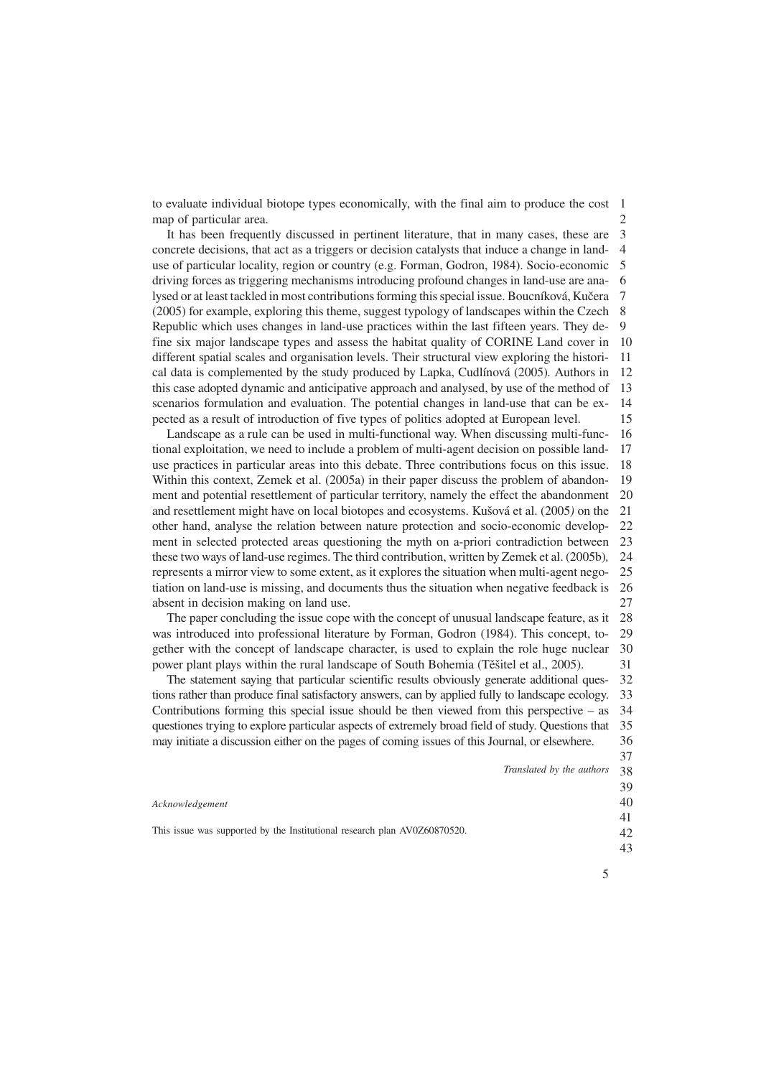to evaluate individual biotope types economically, with the final aim to produce the cost 1  $\mathcal{D}$ map of particular area.

3 4 5 6 7 8 9 10 11 12 13 14 15 It has been frequently discussed in pertinent literature, that in many cases, these are concrete decisions, that act as a triggers or decision catalysts that induce a change in landuse of particular locality, region or country (e.g. Forman, Godron, 1984). Socio-economic driving forces as triggering mechanisms introducing profound changes in land-use are analysed or at least tackled in most contributions forming this special issue. Boucníková, Kučera (2005) for example, exploring this theme, suggest typology of landscapes within the Czech Republic which uses changes in land-use practices within the last fifteen years. They define six major landscape types and assess the habitat quality of CORINE Land cover in different spatial scales and organisation levels. Their structural view exploring the historical data is complemented by the study produced by Lapka, Cudlínová (2005)*.* Authors in this case adopted dynamic and anticipative approach and analysed, by use of the method of scenarios formulation and evaluation. The potential changes in land-use that can be expected as a result of introduction of five types of politics adopted at European level.

16 17 18 19 20 21 22 23  $24$  $25$ 26 27 Landscape as a rule can be used in multi-functional way. When discussing multi-functional exploitation, we need to include a problem of multi-agent decision on possible landuse practices in particular areas into this debate. Three contributions focus on this issue. Within this context, Zemek et al. (2005a) in their paper discuss the problem of abandonment and potential resettlement of particular territory, namely the effect the abandonment and resettlement might have on local biotopes and ecosystems. Kušová et al. (2005*)* on the other hand, analyse the relation between nature protection and socio-economic development in selected protected areas questioning the myth on a-priori contradiction between these two ways of land-use regimes. The third contribution, written by Zemek et al. (2005b)*,* represents a mirror view to some extent, as it explores the situation when multi-agent negotiation on land-use is missing, and documents thus the situation when negative feedback is absent in decision making on land use.

28 29 30 31 The paper concluding the issue cope with the concept of unusual landscape feature, as it was introduced into professional literature by Forman, Godron (1984). This concept, together with the concept of landscape character, is used to explain the role huge nuclear power plant plays within the rural landscape of South Bohemia (Těšitel et al., 2005).

32 33 34 35 36 The statement saying that particular scientific results obviously generate additional questions rather than produce final satisfactory answers, can by applied fully to landscape ecology. Contributions forming this special issue should be then viewed from this perspective  $-$  as questiones trying to explore particular aspects of extremely broad field of study. Questions that may initiate a discussion either on the pages of coming issues of this Journal, or elsewhere.

> $2<sub>Q</sub>$  *Translated by the authors*

|                                                                                              | ◡◡ |
|----------------------------------------------------------------------------------------------|----|
|                                                                                              | 39 |
| Acknowledgement<br>This issue was supported by the Institutional research plan AV0Z60870520. | 40 |
|                                                                                              | 41 |
|                                                                                              | 42 |
|                                                                                              |    |

37